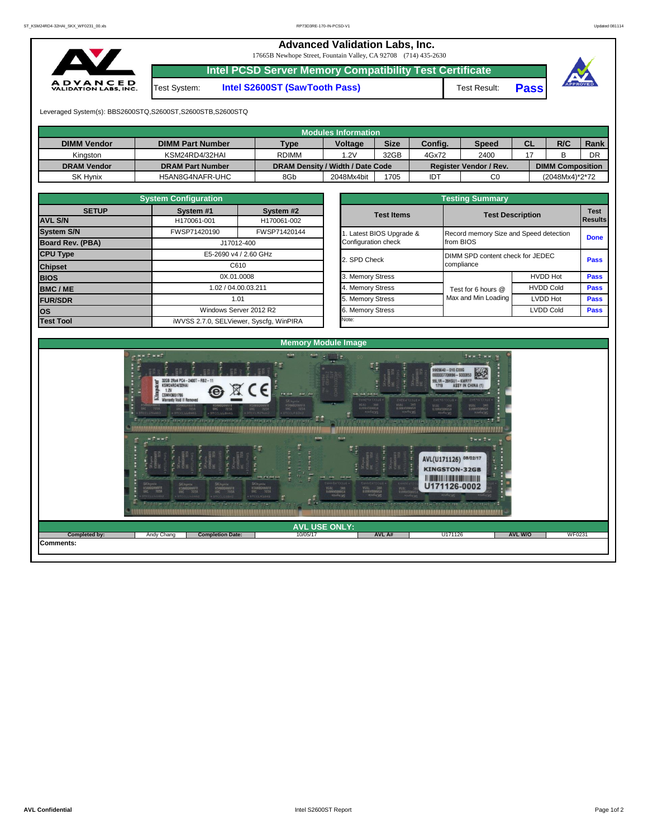## **Advanced Validation Labs, Inc.**

17665B Newhope Street, Fountain Valley, CA 92708 (714) 435-2630



Test System: **Intel S2600ST (SawTooth Pass)** Test Result: **Pass**

**Intel PCSD Server Memory Compatibility Test Certificate**



Leveraged System(s): BBS2600STQ,S2600ST,S2600STB,S2600STQ

|                    |                         |                                  | <b>Modules Information</b> |             |            |                        |           |                         |      |
|--------------------|-------------------------|----------------------------------|----------------------------|-------------|------------|------------------------|-----------|-------------------------|------|
| <b>DIMM Vendor</b> | <b>DIMM Part Number</b> | <b>Type</b>                      | <b>Voltage</b>             | <b>Size</b> | Config.    | <b>Speed</b>           | <b>CL</b> | R/C                     | Rank |
| Kingston           | KSM24RD4/32HAI          | <b>RDIMM</b>                     | 1.2V                       | 32GB        | 4Gx72      | 2400                   |           |                         | DR   |
| <b>DRAM Vendor</b> | <b>DRAM Part Number</b> | DRAM Density / Width / Date Code |                            |             |            | Register Vendor / Rev. |           | <b>DIMM Composition</b> |      |
| SK Hynix           | H5AN8G4NAFR-UHC         | 8Gb                              | 2048Mx4bit                 | 1705        | <b>IDT</b> | C0                     |           | (2048Mx4)*2*72          |      |

|                   | <b>System Configuration</b> |                                         |                       | <b>Testing Summary</b>                 |                  |                |
|-------------------|-----------------------------|-----------------------------------------|-----------------------|----------------------------------------|------------------|----------------|
| <b>SETUP</b>      | System #1                   | System #2                               | <b>Test Items</b>     | <b>Test Description</b>                |                  | <b>Test</b>    |
| <b>AVL S/N</b>    | H170061-001                 | H170061-002                             |                       |                                        |                  | <b>Results</b> |
| <b>System S/N</b> | FWSP71420190                | FWSP71420144                            | Latest BIOS Upgrade & | Record memory Size and Speed detection |                  | <b>Done</b>    |
| Board Rev. (PBA)  |                             | J17012-400                              | Configuration check   | from BIOS                              |                  |                |
| <b>CPU Type</b>   |                             | E5-2690 v4 / 2.60 GHz                   | 2. SPD Check          | DIMM SPD content check for JEDEC       |                  | <b>Pass</b>    |
| <b>Chipset</b>    |                             | C610                                    |                       | compliance                             |                  |                |
| <b>BIOS</b>       |                             | 0X.01.0008                              | 3. Memory Stress      |                                        | <b>HVDD Hot</b>  | <b>Pass</b>    |
| BMC/ME            |                             | 1.02 / 04.00.03.211                     | 4. Memory Stress      | Test for 6 hours @                     | <b>HVDD Cold</b> | <b>Pass</b>    |
| <b>FUR/SDR</b>    |                             | 1.01                                    | 5. Memory Stress      | Max and Min Loading                    | <b>LVDD Hot</b>  | <b>Pass</b>    |
| <b>los</b>        |                             | Windows Server 2012 R2                  | 6. Memory Stress      |                                        | <b>LVDD Cold</b> | <b>Pass</b>    |
| <b>Test Tool</b>  |                             | iWVSS 2.7.0, SELViewer, Syscfq, WinPIRA | Note:                 |                                        |                  |                |